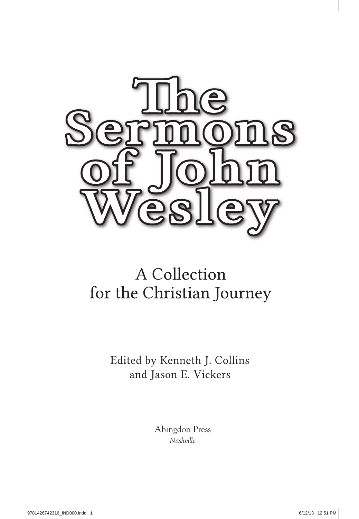

# A Collection for the Christian Journey

Edited by Kenneth J. Collins and Jason E. Vickers

> Abingdon Press *Nashville*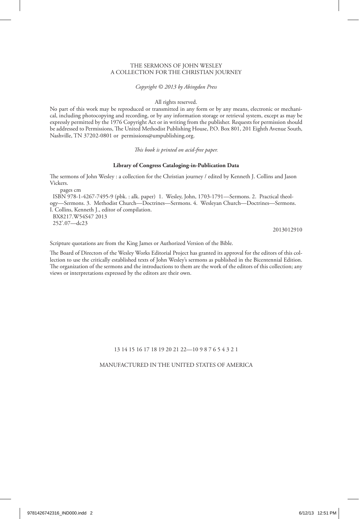#### THE SERMONS OF JOHN WESLEY A COLLECTION FOR THE CHRISTIAN JOURNEY

*Copyright © 2013 by Abingdon Press*

All rights reserved.

No part of this work may be reproduced or transmitted in any form or by any means, electronic or mechanical, including photocopying and recording, or by any information storage or retrieval system, except as may be expressly permitted by the 1976 Copyright Act or in writing from the publisher. Requests for permission should be addressed to Permissions, The United Methodist Publishing House, P.O. Box 801, 201 Eighth Avenue South, Nashville, TN 37202-0801 or permissions@umpublishing.org.

*is book is printed on acid-free paper.*

#### **Library of Congress Cataloging-in-Publication Data**

The sermons of John Wesley : a collection for the Christian journey / edited by Kenneth J. Collins and Jason Vickers.

pages cm

 ISBN 978-1-4267-7495-9 (pbk. : alk. paper) 1. Wesley, John, 1703-1791—Sermons. 2. Practical theology—Sermons. 3. Methodist Church—Doctrines—Sermons. 4. Wesleyan Church—Doctrines—Sermons. I. Collins, Kenneth J., editor of compilation.

 BX8217.W54S47 2013 252'.07—dc23

2013012910

Scripture quotations are from the King James or Authorized Version of the Bible.

The Board of Directors of the Wesley Works Editorial Project has granted its approval for the editors of this collection to use the critically established texts of John Wesley's sermons as published in the Bicentennial Edition. The organization of the sermons and the introductions to them are the work of the editors of this collection; any views or interpretations expressed by the editors are their own.

#### 13 14 15 16 17 18 19 20 21 22—10 9 8 7 6 5 4 3 2 1

MANUFACTURED IN THE UNITED STATES OF AMERICA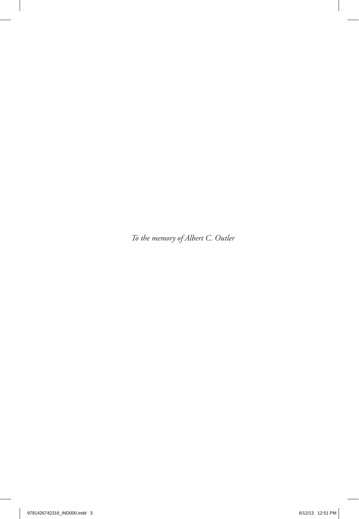*To the memory of Albert C. Outler*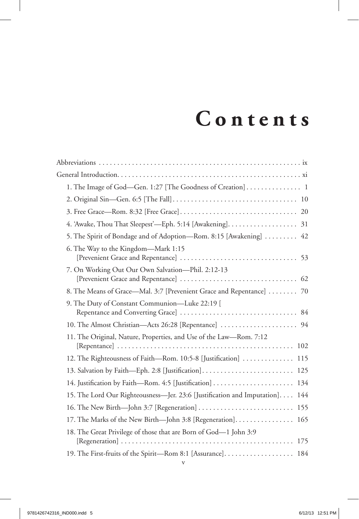# **Contents**

| 5. The Spirit of Bondage and of Adoption-Rom. 8:15 [Awakening]  42          |  |
|-----------------------------------------------------------------------------|--|
| 6. The Way to the Kingdom—Mark 1:15                                         |  |
| 7. On Working Out Our Own Salvation-Phil. 2:12-13                           |  |
| 8. The Means of Grace—Mal. 3:7 [Prevenient Grace and Repentance]  70        |  |
| 9. The Duty of Constant Communion—Luke 22:19 [                              |  |
|                                                                             |  |
| 11. The Original, Nature, Properties, and Use of the Law-Rom. 7:12          |  |
| 12. The Righteousness of Faith-Rom. 10:5-8 [Justification]  115             |  |
| 13. Salvation by Faith-Eph. 2:8 [Justification] 125                         |  |
| 14. Justification by Faith-Rom. 4:5 [Justification]  134                    |  |
| 15. The Lord Our Righteousness-Jer. 23:6 [Justification and Imputation] 144 |  |
|                                                                             |  |
| 17. The Marks of the New Birth-John 3:8 [Regeneration] 165                  |  |
| 18. The Great Privilege of those that are Born of God—1 John 3:9            |  |
| 19. The First-fruits of the Spirit-Rom 8:1 [Assurance] 184                  |  |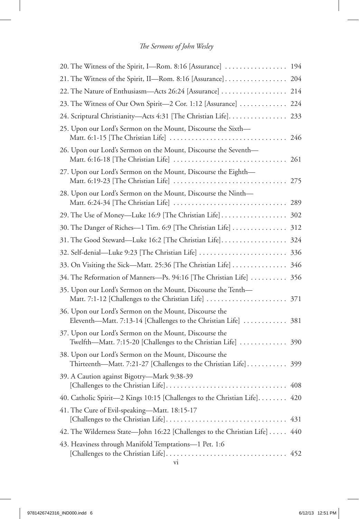## *e Sermons of John Wesley*

| 20. The Witness of the Spirit, I-Rom. 8:16 [Assurance]  194                                                               |  |
|---------------------------------------------------------------------------------------------------------------------------|--|
| 21. The Witness of the Spirit, II-Rom. 8:16 [Assurance] 204                                                               |  |
| 22. The Nature of Enthusiasm—Acts 26:24 [Assurance]  214                                                                  |  |
| 23. The Witness of Our Own Spirit-2 Cor. 1:12 [Assurance]  224                                                            |  |
| 24. Scriptural Christianity—Acts 4:31 [The Christian Life] 233                                                            |  |
| 25. Upon our Lord's Sermon on the Mount, Discourse the Sixth-                                                             |  |
| 26. Upon our Lord's Sermon on the Mount, Discourse the Seventh-                                                           |  |
| 27. Upon our Lord's Sermon on the Mount, Discourse the Eighth-                                                            |  |
| 28. Upon our Lord's Sermon on the Mount, Discourse the Ninth-                                                             |  |
|                                                                                                                           |  |
| 30. The Danger of Riches-1 Tim. 6:9 [The Christian Life]  312                                                             |  |
|                                                                                                                           |  |
|                                                                                                                           |  |
| 33. On Visiting the Sick-Matt. 25:36 [The Christian Life] 346                                                             |  |
| 34. The Reformation of Manners-Ps. 94:16 [The Christian Life]  356                                                        |  |
| 35. Upon our Lord's Sermon on the Mount, Discourse the Tenth-                                                             |  |
| 36. Upon our Lord's Sermon on the Mount, Discourse the<br>Eleventh—Matt. 7:13-14 [Challenges to the Christian Life]  381  |  |
| 37. Upon our Lord's Sermon on the Mount, Discourse the<br>Twelfth—Matt. 7:15-20 [Challenges to the Christian Life]  390   |  |
| 38. Upon our Lord's Sermon on the Mount, Discourse the<br>Thirteenth—Matt. 7:21-27 [Challenges to the Christian Life] 399 |  |
| 39. A Caution against Bigotry-Mark 9:38-39                                                                                |  |
| 40. Catholic Spirit—2 Kings 10:15 [Challenges to the Christian Life] 420                                                  |  |
| 41. The Cure of Evil-speaking—Matt. 18:15-17                                                                              |  |
| 42. The Wilderness State—John 16:22 [Challenges to the Christian Life] 440                                                |  |
| 43. Heaviness through Manifold Temptations—1 Pet. 1:6                                                                     |  |
|                                                                                                                           |  |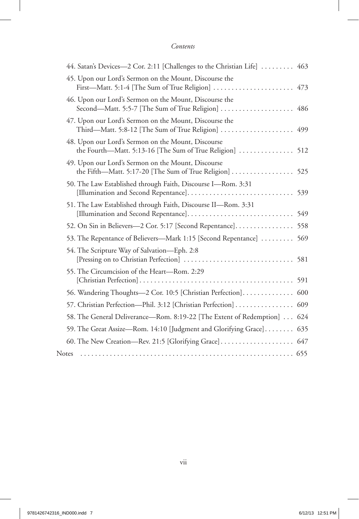### *Contents*

| 44. Satan's Devices-2 Cor. 2:11 [Challenges to the Christian Life]  463                                        |  |
|----------------------------------------------------------------------------------------------------------------|--|
| 45. Upon our Lord's Sermon on the Mount, Discourse the<br>First—Matt. 5:1-4 [The Sum of True Religion]  473    |  |
| 46. Upon our Lord's Sermon on the Mount, Discourse the<br>Second—Matt. 5:5-7 [The Sum of True Religion] 486    |  |
| 47. Upon our Lord's Sermon on the Mount, Discourse the                                                         |  |
| 48. Upon our Lord's Sermon on the Mount, Discourse<br>the Fourth—Matt. 5:13-16 [The Sum of True Religion]  512 |  |
| 49. Upon our Lord's Sermon on the Mount, Discourse<br>the Fifth—Matt. 5:17-20 [The Sum of True Religion] 525   |  |
| 50. The Law Established through Faith, Discourse I-Rom. 3:31                                                   |  |
| 51. The Law Established through Faith, Discourse II-Rom. 3:31                                                  |  |
|                                                                                                                |  |
| 53. The Repentance of Believers—Mark 1:15 [Second Repentance]  569                                             |  |
| 54. The Scripture Way of Salvation—Eph. 2:8                                                                    |  |
| 55. The Circumcision of the Heart—Rom. 2:29                                                                    |  |
| 56. Wandering Thoughts-2 Cor. 10:5 [Christian Perfection] 600                                                  |  |
| 57. Christian Perfection-Phil. 3:12 [Christian Perfection] 609                                                 |  |
| 58. The General Deliverance-Rom. 8:19-22 [The Extent of Redemption] 624                                        |  |
| 59. The Great Assize—Rom. 14:10 [Judgment and Glorifying Grace] 635                                            |  |
|                                                                                                                |  |
| Notes                                                                                                          |  |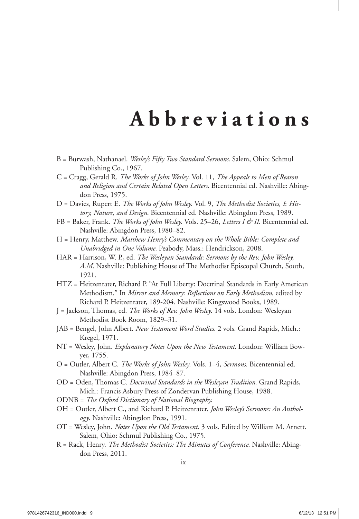# **Abbreviations**

- B = Burwash, Nathanael. *Wesley's Fifty Two Standard Sermons*. Salem, Ohio: Schmul Publishing Co., 1967.
- C = Cragg, Gerald R. *The Works of John Wesley*. Vol. 11, *The Appeals to Men of Reason and Religion and Certain Related Open Letters*. Bicentennial ed. Nashville: Abingdon Press, 1975.
- D = Davies, Rupert E. *The Works of John Wesley*. Vol. 9, *The Methodist Societies, I*: *History, Nature, and Design*. Bicentennial ed. Nashville: Abingdon Press, 1989.
- FB = Baker, Frank. *The Works of John Wesley*. Vols. 25–26, *Letters I & II*. Bicentennial ed. Nashville: Abingdon Press, 1980–82.
- H = Henry, Matthew. *Matthew Henry's Commentary on the Whole Bible: Complete and Unabridged in One Volume.* Peabody, Mass.: Hendrickson, 2008.
- HAR = Harrison, W. P., ed. *The Wesleyan Standards: Sermons by the Rev. John Wesley, A.M.* Nashville: Publishing House of The Methodist Episcopal Church, South, 1921.
- HTZ = Heitzenrater, Richard P. "At Full Liberty: Doctrinal Standards in Early American Methodism." In *Mirror and Memory: Reflections on Early Methodism*, edited by Richard P. Heitzenrater, 189-204. Nashville: Kingswood Books, 1989.
- J = Jackson, Thomas, ed. *The Works of Rev. John Wesley*. 14 vols. London: Wesleyan Methodist Book Room, 1829–31.
- JAB = Bengel, John Albert. *New Testament Word Studies*. 2 vols. Grand Rapids, Mich.: Kregel, 1971.
- NT = Wesley, John. *Explanatory Notes Upon the New Testament*. London: William Bowyer, 1755.
- O = Outler, Albert C. *The Works of John Wesley*. Vols. 1–4, *Sermons*. Bicentennial ed. Nashville: Abingdon Press, 1984–87.
- OD = Oden, Thomas C. *Doctrinal Standards in the Wesleyan Tradition*. Grand Rapids, Mich.: Francis Asbury Press of Zondervan Publishing House, 1988.
- ODNB = *The Oxford Dictionary of National Biography.*
- OH = Outler, Albert C., and Richard P. Heitzenrater. *John Wesley's Sermons: An Anthology*. Nashville: Abingdon Press, 1991.
- OT = Wesley, John. *Notes Upon the Old Testament*. 3 vols. Edited by William M. Arnett. Salem, Ohio: Schmul Publishing Co., 1975.
- R = Rack, Henry. *The Methodist Societies: The Minutes of Conference*. Nashville: Abingdon Press, 2011.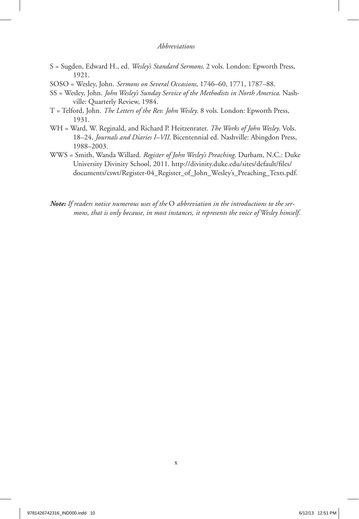#### *Abbreviations*

- S = Sugden, Edward H., ed. *Wesley's Standard Sermons*. 2 vols. London: Epworth Press, 1921.
- SOSO = Wesley, John. *Sermons on Several Occasions,* 1746–60, 1771, 1787–88.
- SS = Wesley, John. *John Wesley's Sunday Service of the Methodists in North America*. Nashville: Quarterly Review, 1984.
- T = Telford, John. *The Letters of the Rev. John Wesley*. 8 vols. London: Epworth Press, 1931.
- WH = Ward, W. Reginald, and Richard P. Heitzenrater. *The Works of John Wesley*. Vols. 18–24, *Journals and Diaries I–VII*. Bicentennial ed. Nashville: Abingdon Press, 1988–2003.
- WWS = Smith, Wanda Willard. *Register of John Wesley's Preaching*. Durham, N.C.: Duke University Divinity School, 2011. http://divinity.duke.edu/sites/default/files/ documents/cswt/Register-04\_Register\_of\_John\_Wesley's\_Preaching\_Texts.pdf.

*Note: If readers notice numerous uses of the* O *abbreviation in the introductions to the sermons, that is only because, in most instances, it represents the voice of Wesley himself.*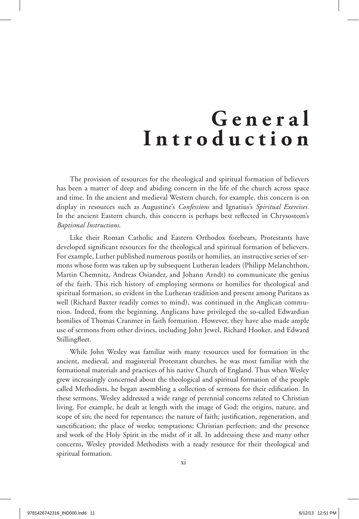# **G e n e r a l Introduction**

The provision of resources for the theological and spiritual formation of believers has been a matter of deep and abiding concern in the life of the church across space and time. In the ancient and medieval Western church, for example, this concern is on display in resources such as Augustine's *Confessions* and Ignatius's *Spiritual Exercises.*  In the ancient Eastern church, this concern is perhaps best reflected in Chrysostom's *Baptismal Instructions*.

Like their Roman Catholic and Eastern Orthodox forebears, Protestants have developed significant resources for the theological and spiritual formation of believers. For example, Luther published numerous postils or homilies, an instructive series of sermons whose form was taken up by subsequent Lutheran leaders (Philipp Melanchthon, Martin Chemnitz, Andreas Osiander, and Johann Arndt) to communicate the genius of the faith. This rich history of employing sermons or homilies for theological and spiritual formation, so evident in the Lutheran tradition and present among Puritans as well (Richard Baxter readily comes to mind), was continued in the Anglican communion. Indeed, from the beginning, Anglicans have privileged the so-called Edwardian homilies of Thomas Cranmer in faith formation. However, they have also made ample use of sermons from other divines, including John Jewel, Richard Hooker, and Edward Stillingfleet.

While John Wesley was familiar with many resources used for formation in the ancient, medieval, and magisterial Protestant churches, he was most familiar with the formational materials and practices of his native Church of England. Thus when Wesley grew increasingly concerned about the theological and spiritual formation of the people called Methodists, he began assembling a collection of sermons for their edification. In these sermons, Wesley addressed a wide range of perennial concerns related to Christian living. For example, he dealt at length with the image of God; the origins, nature, and scope of sin; the need for repentance; the nature of faith; justification, regeneration, and sanctification; the place of works; temptations; Christian perfection; and the presence and work of the Holy Spirit in the midst of it all. In addressing these and many other concerns, Wesley provided Methodists with a ready resource for their theological and spiritual formation.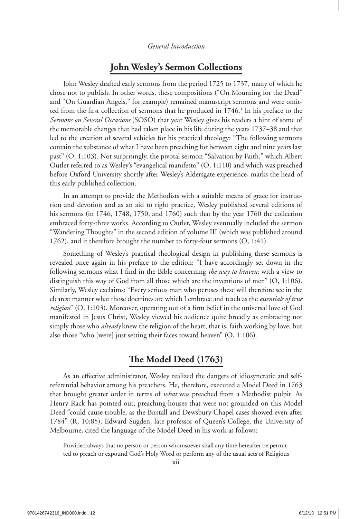## **John Wesley's Sermon Collections**

John Wesley drafted early sermons from the period 1725 to 1737, many of which he chose not to publish. In other words, these compositions ("On Mourning for the Dead" and "On Guardian Angels," for example) remained manuscript sermons and were omitted from the first collection of sermons that he produced in 1746. 1 In his preface to the *Sermons on Several Occasions* (SOSO) that year Wesley gives his readers a hint of some of the memorable changes that had taken place in his life during the years 1737–38 and that led to the creation of several vehicles for his practical theology: "The following sermons contain the substance of what I have been preaching for between eight and nine years last past" (O, 1:103). Not surprisingly, the pivotal sermon "Salvation by Faith," which Albert Outler referred to as Wesley's "evangelical manifesto" (O, 1:110) and which was preached before Oxford University shortly after Wesley's Aldersgate experience, marks the head of this early published collection.

In an attempt to provide the Methodists with a suitable means of grace for instruction and devotion and as an aid to right practice, Wesley published several editions of his sermons (in 1746, 1748, 1750, and 1760) such that by the year 1760 the collection embraced forty-three works. According to Outler, Wesley eventually included the sermon "Wandering Thoughts" in the second edition of volume III (which was published around 1762), and it therefore brought the number to forty-four sermons (O, 1:41).

Something of Wesley's practical theological design in publishing these sermons is revealed once again in his preface to the edition: "I have accordingly set down in the following sermons what I find in the Bible concerning *the way to heaven*; with a view to distinguish this way of God from all those which are the inventions of men" (O, 1:106). Similarly, Wesley exclaims: "Every serious man who peruses these will therefore see in the clearest manner what those doctrines are which I embrace and teach as the *essentials of true religion*" (O, 1:103). Moreover, operating out of a firm belief in the universal love of God manifested in Jesus Christ, Wesley viewed his audience quite broadly as embracing not simply those who *already* knew the religion of the heart, that is, faith working by love, but also those "who [were] just setting their faces toward heaven" (O, 1:106).

## **e Model Deed (1763)**

As an effective administrator, Wesley realized the dangers of idiosyncratic and selfreferential behavior among his preachers. He, therefore, executed a Model Deed in 1763 that brought greater order in terms of *what* was preached from a Methodist pulpit. As Henry Rack has pointed out, preaching-houses that were not grounded on this Model Deed "could cause trouble, as the Birstall and Dewsbury Chapel cases showed even after 1784" (R, 10:85). Edward Sugden, late professor of Queen's College, the University of Melbourne, cited the language of the Model Deed in his work as follows:

Provided always that no person or person whomsoever shall any time hereafter be permitted to preach or expound God's Holy Word or perform any of the usual acts of Religious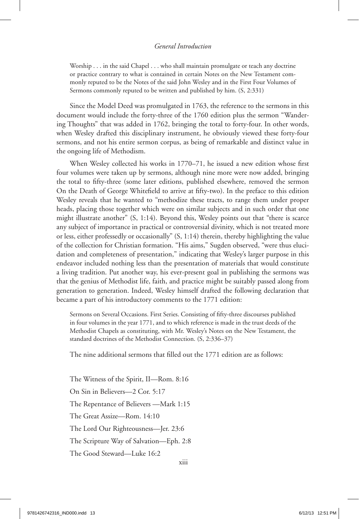Worship . . . in the said Chapel . . . who shall maintain promulgate or teach any doctrine or practice contrary to what is contained in certain Notes on the New Testament commonly reputed to be the Notes of the said John Wesley and in the First Four Volumes of Sermons commonly reputed to be written and published by him. (S, 2:331)

Since the Model Deed was promulgated in 1763, the reference to the sermons in this document would include the forty-three of the 1760 edition plus the sermon "Wandering Thoughts" that was added in 1762, bringing the total to forty-four. In other words, when Wesley drafted this disciplinary instrument, he obviously viewed these forty-four sermons, and not his entire sermon corpus, as being of remarkable and distinct value in the ongoing life of Methodism.

When Wesley collected his works in 1770–71, he issued a new edition whose first four volumes were taken up by sermons, although nine more were now added, bringing the total to fifty-three (some later editions, published elsewhere, removed the sermon On the Death of George Whitefield to arrive at fifty-two). In the preface to this edition Wesley reveals that he wanted to "methodize these tracts, to range them under proper heads, placing those together which were on similar subjects and in such order that one might illustrate another" (S, 1:14). Beyond this, Wesley points out that "there is scarce any subject of importance in practical or controversial divinity, which is not treated more or less, either professedly or occasionally" (S, 1:14) therein, thereby highlighting the value of the collection for Christian formation. "His aims," Sugden observed, "were thus elucidation and completeness of presentation," indicating that Wesley's larger purpose in this endeavor included nothing less than the presentation of materials that would constitute a living tradition. Put another way, his ever-present goal in publishing the sermons was that the genius of Methodist life, faith, and practice might be suitably passed along from generation to generation. Indeed, Wesley himself drafted the following declaration that became a part of his introductory comments to the 1771 edition:

Sermons on Several Occasions. First Series. Consisting of fifty-three discourses published in four volumes in the year 1771, and to which reference is made in the trust deeds of the Methodist Chapels as constituting, with Mr. Wesley's Notes on the New Testament, the standard doctrines of the Methodist Connection. (S, 2:336–37)

The nine additional sermons that filled out the 1771 edition are as follows:

The Witness of the Spirit, II—Rom. 8:16 On Sin in Believers—2 Cor. 5:17 The Repentance of Believers —Mark 1:15 The Great Assize—Rom. 14:10 The Lord Our Righteousness—Jer. 23:6 The Scripture Way of Salvation—Eph. 2:8 The Good Steward—Luke 16:2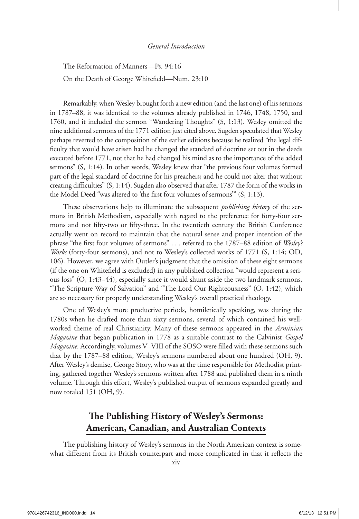The Reformation of Manners—Ps. 94:16

On the Death of George Whitefield—Num. 23:10

Remarkably, when Wesley brought forth a new edition (and the last one) of his sermons in 1787–88, it was identical to the volumes already published in 1746, 1748, 1750, and 1760, and it included the sermon "Wandering Thoughts" (S, 1:13). Wesley omitted the nine additional sermons of the 1771 edition just cited above. Sugden speculated that Wesley perhaps reverted to the composition of the earlier editions because he realized "the legal difficulty that would have arisen had he changed the standard of doctrine set out in the deeds executed before 1771, not that he had changed his mind as to the importance of the added sermons" (S, 1:14). In other words, Wesley knew that "the previous four volumes formed part of the legal standard of doctrine for his preachers; and he could not alter that without creating difficulties" (S, 1:14). Sugden also observed that after 1787 the form of the works in the Model Deed "was altered to 'the first four volumes of sermons'" (S, 1:13).

These observations help to illuminate the subsequent *publishing history* of the sermons in British Methodism, especially with regard to the preference for forty-four sermons and not fifty-two or fifty-three. In the twentieth century the British Conference actually went on record to maintain that the natural sense and proper intention of the phrase "the first four volumes of sermons" . . . referred to the 1787–88 edition of *Wesley's Works* (forty-four sermons), and not to Wesley's collected works of 1771 (S, 1:14; OD, 106). However, we agree with Outler's judgment that the omission of these eight sermons (if the one on Whitefield is excluded) in any published collection "would represent a serious loss" (O, 1:43–44), especially since it would shunt aside the two landmark sermons, "The Scripture Way of Salvation" and "The Lord Our Righteousness" (O, 1:42), which are so necessary for properly understanding Wesley's overall practical theology.

One of Wesley's more productive periods, homiletically speaking, was during the 1780s when he drafted more than sixty sermons, several of which contained his wellworked theme of real Christianity. Many of these sermons appeared in the *Arminian Magazine* that began publication in 1778 as a suitable contrast to the Calvinist *Gospel Magazine*. Accordingly, volumes V–VIII of the SOSO were filled with these sermons such that by the 1787–88 edition, Wesley's sermons numbered about one hundred (OH, 9). After Wesley's demise, George Story, who was at the time responsible for Methodist printing, gathered together Wesley's sermons written after 1788 and published them in a ninth volume. Through this effort, Wesley's published output of sermons expanded greatly and now totaled 151 (OH, 9).

# **e Publishing History of Wesley's Sermons: American, Canadian, and Australian Contexts**

The publishing history of Wesley's sermons in the North American context is somewhat different from its British counterpart and more complicated in that it reflects the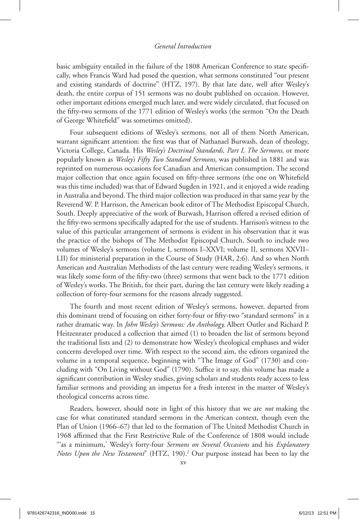basic ambiguity entailed in the failure of the 1808 American Conference to state specifically, when Francis Ward had posed the question, what sermons constituted "our present and existing standards of doctrine" (HTZ, 197). By that late date, well after Wesley's death, the entire corpus of 151 sermons was no doubt published on occasion. However, other important editions emerged much later, and were widely circulated, that focused on the fifty-two sermons of the 1771 edition of Wesley's works (the sermon "On the Death of George Whitefield" was sometimes omitted).

Four subsequent editions of Wesley's sermons, not all of them North American, warrant significant attention: the first was that of Nathanael Burwash, dean of theology, Victoria College, Canada. His *Wesley's Doctrinal Standards, Part I, The Sermons,* or more popularly known as *Wesley's Fifty Two Standard Sermons,* was published in 1881 and was reprinted on numerous occasions for Canadian and American consumption. The second major collection that once again focused on fifty-three sermons (the one on Whitefield was this time included) was that of Edward Sugden in 1921, and it enjoyed a wide reading in Australia and beyond. The third major collection was produced in that same year by the Reverend W. P. Harrison, the American book editor of The Methodist Episcopal Church, South. Deeply appreciative of the work of Burwash, Harrison offered a revised edition of the fifty-two sermons specifically adapted for the use of students. Harrison's witness to the value of this particular arrangement of sermons is evident in his observation that it was the practice of the bishops of The Methodist Episcopal Church, South to include two volumes of Wesley's sermons (volume I, sermons I–XXVI; volume II, sermons XXVII– LII) for ministerial preparation in the Course of Study (HAR, 2:6). And so when North American and Australian Methodists of the last century were reading Wesley's sermons, it was likely some form of the fifty-two (three) sermons that went back to the 1771 edition of Wesley's works. The British, for their part, during the last century were likely reading a collection of forty-four sermons for the reasons already suggested.

The fourth and most recent edition of Wesley's sermons, however, departed from this dominant trend of focusing on either forty-four or fifty-two "standard sermons" in a rather dramatic way. In *John Wesley's Sermons: An Anthology,* Albert Outler and Richard P. Heitzenrater produced a collection that aimed (1) to broaden the list of sermons beyond the traditional lists and (2) to demonstrate how Wesley's theological emphases and wider concerns developed over time. With respect to the second aim, the editors organized the volume in a temporal sequence, beginning with "The Image of God" (1730) and concluding with "On Living without God" (1790). Suffice it to say, this volume has made a significant contribution in Wesley studies, giving scholars and students ready access to less familiar sermons and providing an impetus for a fresh interest in the matter of Wesley's theological concerns across time.

Readers, however, should note in light of this history that we are *not* making the case for what constituted standard sermons in the American context, though even the Plan of Union (1966–67) that led to the formation of The United Methodist Church in 1968 affirmed that the First Restrictive Rule of the Conference of 1808 would include "'as a minimum,' Wesley's forty-four *Sermons on Several Occasions* and his *Explanatory Notes Upon the New Testament*" (HTZ, 190). 2 Our purpose instead has been to lay the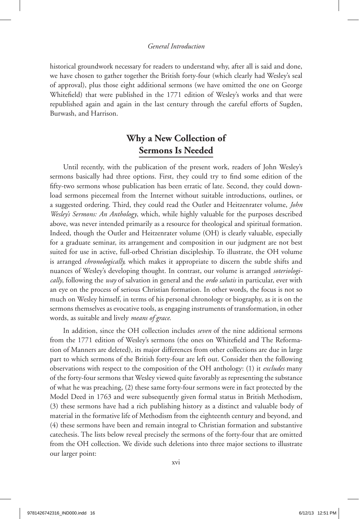historical groundwork necessary for readers to understand why, after all is said and done, we have chosen to gather together the British forty-four (which clearly had Wesley's seal of approval), plus those eight additional sermons (we have omitted the one on George Whitefield) that were published in the 1771 edition of Wesley's works and that were republished again and again in the last century through the careful efforts of Sugden, Burwash, and Harrison.

# **Why a New Collection of Sermons Is Needed**

Until recently, with the publication of the present work, readers of John Wesley's sermons basically had three options. First, they could try to find some edition of the fifty-two sermons whose publication has been erratic of late. Second, they could download sermons piecemeal from the Internet without suitable introductions, outlines, or a suggested ordering. Third, they could read the Outler and Heitzenrater volume, *John Wesley's Sermons: An Anthology*, which, while highly valuable for the purposes described above, was never intended primarily as a resource for theological and spiritual formation. Indeed, though the Outler and Heitzenrater volume (OH) is clearly valuable, especially for a graduate seminar, its arrangement and composition in our judgment are not best suited for use in active, full-orbed Christian discipleship. To illustrate, the OH volume is arranged *chronologically,* which makes it appropriate to discern the subtle shifts and nuances of Wesley's developing thought. In contrast, our volume is arranged *soteriologically*, following the *way* of salvation in general and the *ordo salutis* in particular, ever with an eye on the process of serious Christian formation. In other words, the focus is not so much on Wesley himself, in terms of his personal chronology or biography, as it is on the sermons themselves as evocative tools, as engaging instruments of transformation, in other words, as suitable and lively *means of grace*.

In addition, since the OH collection includes *seven* of the nine additional sermons from the 1771 edition of Wesley's sermons (the ones on Whitefield and The Reformation of Manners are deleted), its major differences from other collections are due in large part to which sermons of the British forty-four are left out. Consider then the following observations with respect to the composition of the OH anthology: (1) it *excludes* many of the forty-four sermons that Wesley viewed quite favorably as representing the substance of what he was preaching, (2) these same forty-four sermons were in fact protected by the Model Deed in 1763 and were subsequently given formal status in British Methodism, (3) these sermons have had a rich publishing history as a distinct and valuable body of material in the formative life of Methodism from the eighteenth century and beyond, and (4) these sermons have been and remain integral to Christian formation and substantive catechesis. The lists below reveal precisely the sermons of the forty-four that are omitted from the OH collection. We divide such deletions into three major sections to illustrate our larger point: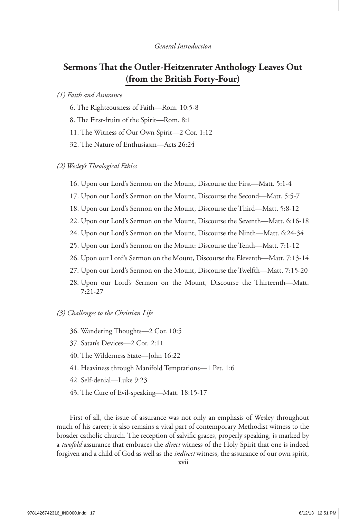# **Sermons That the Outler-Heitzenrater Anthology Leaves Out (from the British Forty-Four)**

*(1) Faith and Assurance*

- 6. The Righteousness of Faith—Rom. 10:5-8
- 8. The First-fruits of the Spirit—Rom. 8:1
- 11. The Witness of Our Own Spirit—2 Cor. 1:12
- 32. The Nature of Enthusiasm—Acts 26:24

*(2) Wesley's Theological Ethics*

- 16. Upon our Lord's Sermon on the Mount, Discourse the First—Matt. 5:1-4
- 17. Upon our Lord's Sermon on the Mount, Discourse the Second—Matt. 5:5-7
- 18. Upon our Lord's Sermon on the Mount, Discourse the Third—Matt. 5:8-12
- 22. Upon our Lord's Sermon on the Mount, Discourse the Seventh—Matt. 6:16-18
- 24. Upon our Lord's Sermon on the Mount, Discourse the Ninth—Matt. 6:24-34
- 25. Upon our Lord's Sermon on the Mount: Discourse the Tenth—Matt. 7:1-12
- 26. Upon our Lord's Sermon on the Mount, Discourse the Eleventh—Matt. 7:13-14
- 27. Upon our Lord's Sermon on the Mount, Discourse the Twelfth—Matt. 7:15-20
- 28. Upon our Lord's Sermon on the Mount, Discourse the Thirteenth—Matt. 7:21-27

*(3) Challenges to the Christian Life*

- 36. Wandering Thoughts—2 Cor. 10:5
- 37. Satan's Devices—2 Cor. 2:11
- 40. The Wilderness State—John 16:22
- 41. Heaviness through Manifold Temptations—1 Pet. 1:6
- 42. Self-denial—Luke 9:23
- 43. The Cure of Evil-speaking—Matt. 18:15-17

First of all, the issue of assurance was not only an emphasis of Wesley throughout much of his career; it also remains a vital part of contemporary Methodist witness to the broader catholic church. The reception of salvific graces, properly speaking, is marked by a *twofold* assurance that embraces the *direct* witness of the Holy Spirit that one is indeed forgiven and a child of God as well as the *indirect* witness, the assurance of our own spirit,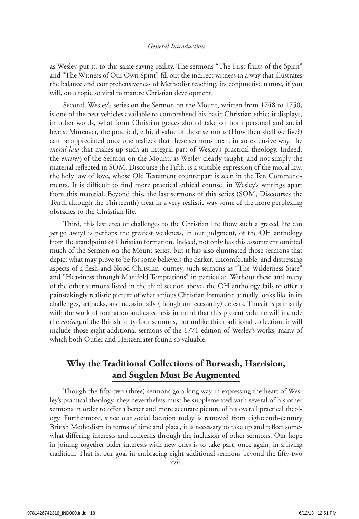as Wesley put it, to this same saving reality. The sermons "The First-fruits of the Spirit" and "The Witness of Our Own Spirit" fill out the indirect witness in a way that illustrates the balance and comprehensiveness of Methodist teaching, its conjunctive nature, if you will, on a topic so vital to mature Christian development.

Second, Wesley's series on the Sermon on the Mount, written from 1748 to 1750, is one of the best vehicles available to comprehend his basic Christian ethic; it displays, in other words, what form Christian graces should take on both personal and social levels. Moreover, the practical, ethical value of these sermons (How then shall we live?) can be appreciated once one realizes that these sermons treat, in an extensive way, the *moral law* that makes up such an integral part of Wesley's practical theology. Indeed, the *entirety* of the Sermon on the Mount, as Wesley clearly taught, and not simply the material reflected in SOM, Discourse the Fifth, is a suitable expression of the moral law, the holy law of love, whose Old Testament counterpart is seen in the Ten Commandments. It is difficult to find more practical ethical counsel in Wesley's writings apart from this material. Beyond this, the last sermons of this series (SOM, Discourses the Tenth through the Thirteenth) treat in a very realistic way some of the more perplexing obstacles to the Christian life.

Third, this last area of challenges to the Christian life (how such a graced life can *yet* go awry) is perhaps the greatest weakness, in our judgment, of the OH anthology from the standpoint of Christian formation. Indeed, not only has this assortment omitted much of the Sermon on the Mount series, but it has also eliminated those sermons that depict what may prove to be for some believers the darker, uncomfortable, and distressing aspects of a flesh-and-blood Christian journey, such sermons as "The Wilderness State" and "Heaviness through Manifold Temptations" in particular. Without these and many of the other sermons listed in the third section above, the OH anthology fails to offer a painstakingly realistic picture of what serious Christian formation actually looks like in its challenges, setbacks, and occasionally (though unnecessarily) defeats. Thus it is primarily with the work of formation and catechesis in mind that this present volume will include the *entirety* of the British forty-four sermons, but unlike this traditional collection, it will include those eight additional sermons of the 1771 edition of Wesley's works, many of which both Outler and Heitzenrater found so valuable.

## **Why the Traditional Collections of Burwash, Harrision, and Sugden Must Be Augmented**

Though the fifty-two (three) sermons go a long way in expressing the heart of Wesley's practical theology, they nevertheless must be supplemented with several of his other sermons in order to offer a better and more accurate picture of his overall practical theology. Furthermore, since our social location today is removed from eighteenth-century British Methodism in terms of time and place, it is necessary to take up and reflect somewhat differing interests and concerns through the inclusion of other sermons. Our hope in joining together older interests with new ones is to take part, once again, in a living tradition. That is, our goal in embracing eight additional sermons beyond the fifty-two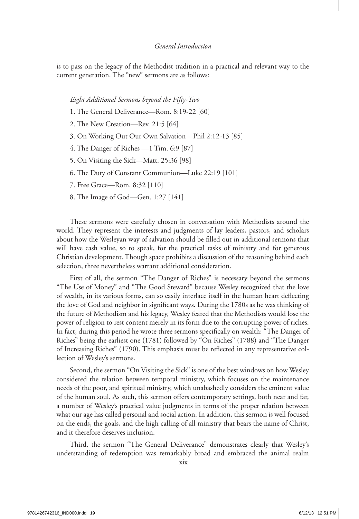is to pass on the legacy of the Methodist tradition in a practical and relevant way to the current generation. The "new" sermons are as follows:

*Eight Additional Sermons beyond the Fifty-Two*

- 1. The General Deliverance—Rom. 8:19-22 [60]
- 2. The New Creation—Rev. 21:5 [64]
- 3. On Working Out Our Own Salvation—Phil 2:12-13 [85]
- 4. The Danger of Riches —1 Tim. 6:9 [87]
- 5. On Visiting the Sick—Matt. 25:36 [98]
- 6. The Duty of Constant Communion—Luke 22:19 [101]
- 7. Free Grace—Rom. 8:32 [110]
- 8. The Image of God—Gen. 1:27 [141]

These sermons were carefully chosen in conversation with Methodists around the world. They represent the interests and judgments of lay leaders, pastors, and scholars about how the Wesleyan way of salvation should be filled out in additional sermons that will have cash value, so to speak, for the practical tasks of ministry and for generous Christian development. Though space prohibits a discussion of the reasoning behind each selection, three nevertheless warrant additional consideration.

First of all, the sermon "The Danger of Riches" is necessary beyond the sermons "The Use of Money" and "The Good Steward" because Wesley recognized that the love of wealth, in its various forms, can so easily interlace itself in the human heart deflecting the love of God and neighbor in significant ways. During the 1780s as he was thinking of the future of Methodism and his legacy, Wesley feared that the Methodists would lose the power of religion to rest content merely in its form due to the corrupting power of riches. In fact, during this period he wrote three sermons specifically on wealth: "The Danger of Riches" being the earliest one (1781) followed by "On Riches" (1788) and "The Danger of Increasing Riches" (1790). This emphasis must be reflected in any representative collection of Wesley's sermons.

Second, the sermon "On Visiting the Sick" is one of the best windows on how Wesley considered the relation between temporal ministry, which focuses on the maintenance needs of the poor, and spiritual ministry, which unabashedly considers the eminent value of the human soul. As such, this sermon offers contemporary settings, both near and far, a number of Wesley's practical value judgments in terms of the proper relation between what our age has called personal and social action. In addition, this sermon is well focused on the ends, the goals, and the high calling of all ministry that bears the name of Christ, and it therefore deserves inclusion.

Third, the sermon "The General Deliverance" demonstrates clearly that Wesley's understanding of redemption was remarkably broad and embraced the animal realm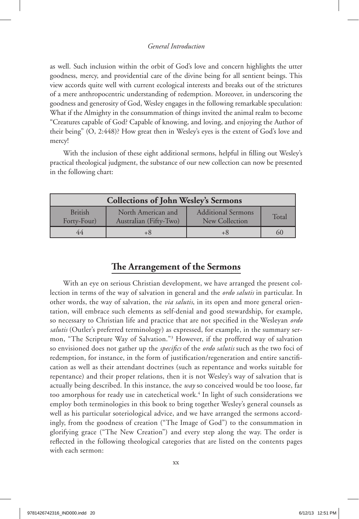as well. Such inclusion within the orbit of God's love and concern highlights the utter goodness, mercy, and providential care of the divine being for all sentient beings. This view accords quite well with current ecological interests and breaks out of the strictures of a mere anthropocentric understanding of redemption. Moreover, in underscoring the goodness and generosity of God, Wesley engages in the following remarkable speculation: What if the Almighty in the consummation of things invited the animal realm to become "Creatures capable of God? Capable of knowing, and loving, and enjoying the Author of their being" (O, 2:448)? How great then in Wesley's eyes is the extent of God's love and mercy!

With the inclusion of these eight additional sermons, helpful in filling out Wesley's practical theological judgment, the substance of our new collection can now be presented in the following chart:

| <b>Collections of John Wesley's Sermons</b> |                                              |                                             |       |  |  |
|---------------------------------------------|----------------------------------------------|---------------------------------------------|-------|--|--|
| British<br>Forty-Four)                      | North American and<br>Australian (Fifty-Two) | <b>Additional Sermons</b><br>New Collection | Total |  |  |
|                                             |                                              |                                             | 61    |  |  |

### **e Arrangement of the Sermons**

With an eye on serious Christian development, we have arranged the present collection in terms of the way of salvation in general and the *ordo salutis* in particular. In other words, the way of salvation, the *via salutis*, in its open and more general orientation, will embrace such elements as self-denial and good stewardship, for example, so necessary to Christian life and practice that are not specified in the Wesleyan *ordo salutis* (Outler's preferred terminology) as expressed, for example, in the summary sermon, "The Scripture Way of Salvation."3 However, if the proffered way of salvation so envisioned does not gather up the *specifics* of the *ordo salutis* such as the two foci of redemption, for instance, in the form of justification/regeneration and entire sanctification as well as their attendant doctrines (such as repentance and works suitable for repentance) and their proper relations, then it is not Wesley's way of salvation that is actually being described. In this instance, the *way* so conceived would be too loose, far too amorphous for ready use in catechetical work. 4 In light of such considerations we employ both terminologies in this book to bring together Wesley's general counsels as well as his particular soteriological advice, and we have arranged the sermons accordingly, from the goodness of creation ("The Image of God") to the consummation in glorifying grace ("The New Creation") and every step along the way. The order is reflected in the following theological categories that are listed on the contents pages with each sermon: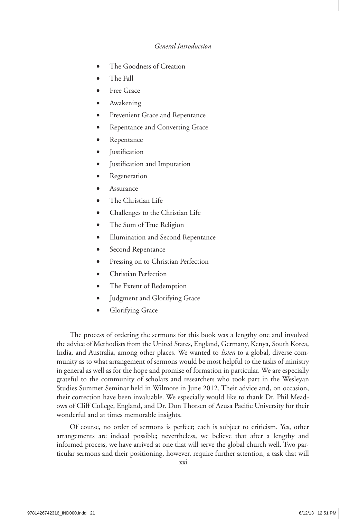- The Goodness of Creation
- The Fall
- Free Grace
- Awakening
- Prevenient Grace and Repentance
- Repentance and Converting Grace
- **Repentance**
- **Justification**
- Justification and Imputation
- **Regeneration**
- Assurance
- The Christian Life
- Challenges to the Christian Life
- The Sum of True Religion
- Illumination and Second Repentance
- Second Repentance
- Pressing on to Christian Perfection
- Christian Perfection
- The Extent of Redemption
- Judgment and Glorifying Grace
- Glorifying Grace

The process of ordering the sermons for this book was a lengthy one and involved the advice of Methodists from the United States, England, Germany, Kenya, South Korea, India, and Australia, among other places. We wanted to *listen* to a global, diverse community as to what arrangement of sermons would be most helpful to the tasks of ministry in general as well as for the hope and promise of formation in particular. We are especially grateful to the community of scholars and researchers who took part in the Wesleyan Studies Summer Seminar held in Wilmore in June 2012. Their advice and, on occasion, their correction have been invaluable. We especially would like to thank Dr. Phil Meadows of Cliff College, England, and Dr. Don Thorsen of Azusa Pacific University for their wonderful and at times memorable insights.

Of course, no order of sermons is perfect; each is subject to criticism. Yes, other arrangements are indeed possible; nevertheless, we believe that after a lengthy and informed process, we have arrived at one that will serve the global church well. Two particular sermons and their positioning, however, require further attention, a task that will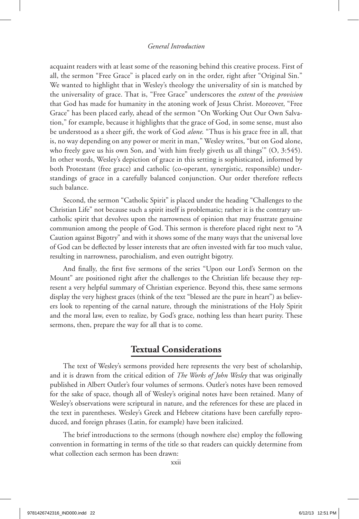acquaint readers with at least some of the reasoning behind this creative process. First of all, the sermon "Free Grace" is placed early on in the order, right after "Original Sin." We wanted to highlight that in Wesley's theology the universality of sin is matched by the universality of grace. That is, "Free Grace" underscores the *extent* of the *provision* that God has made for humanity in the atoning work of Jesus Christ. Moreover, "Free Grace" has been placed early, ahead of the sermon "On Working Out Our Own Salvation," for example, because it highlights that the grace of God, in some sense, must also be understood as a sheer gift, the work of God *alone*. "Thus is his grace free in all, that is, no way depending on any power or merit in man," Wesley writes, "but on God alone, who freely gave us his own Son, and 'with him freely giveth us all things'" (O, 3:545). In other words, Wesley's depiction of grace in this setting is sophisticated, informed by both Protestant (free grace) and catholic (co-operant, synergistic, responsible) understandings of grace in a carefully balanced conjunction. Our order therefore reflects such balance.

Second, the sermon "Catholic Spirit" is placed under the heading "Challenges to the Christian Life" not because such a spirit itself is problematic; rather it is the contrary uncatholic spirit that devolves upon the narrowness of opinion that may frustrate genuine communion among the people of God. This sermon is therefore placed right next to "A Caution against Bigotry" and with it shows some of the many ways that the universal love of God can be deflected by lesser interests that are often invested with far too much value, resulting in narrowness, parochialism, and even outright bigotry.

And finally, the first five sermons of the series "Upon our Lord's Sermon on the Mount" are positioned right after the challenges to the Christian life because they represent a very helpful summary of Christian experience. Beyond this, these same sermons display the very highest graces (think of the text "blessed are the pure in heart") as believers look to repenting of the carnal nature, through the ministrations of the Holy Spirit and the moral law, even to realize, by God's grace, nothing less than heart purity. These sermons, then, prepare the way for all that is to come.

### **Textual Considerations**

The text of Wesley's sermons provided here represents the very best of scholarship, and it is drawn from the critical edition of *The Works of John Wesley* that was originally published in Albert Outler's four volumes of sermons. Outler's notes have been removed for the sake of space, though all of Wesley's original notes have been retained. Many of Wesley's observations were scriptural in nature, and the references for these are placed in the text in parentheses. Wesley's Greek and Hebrew citations have been carefully reproduced, and foreign phrases (Latin, for example) have been italicized.

The brief introductions to the sermons (though nowhere else) employ the following convention in formatting in terms of the title so that readers can quickly determine from what collection each sermon has been drawn: